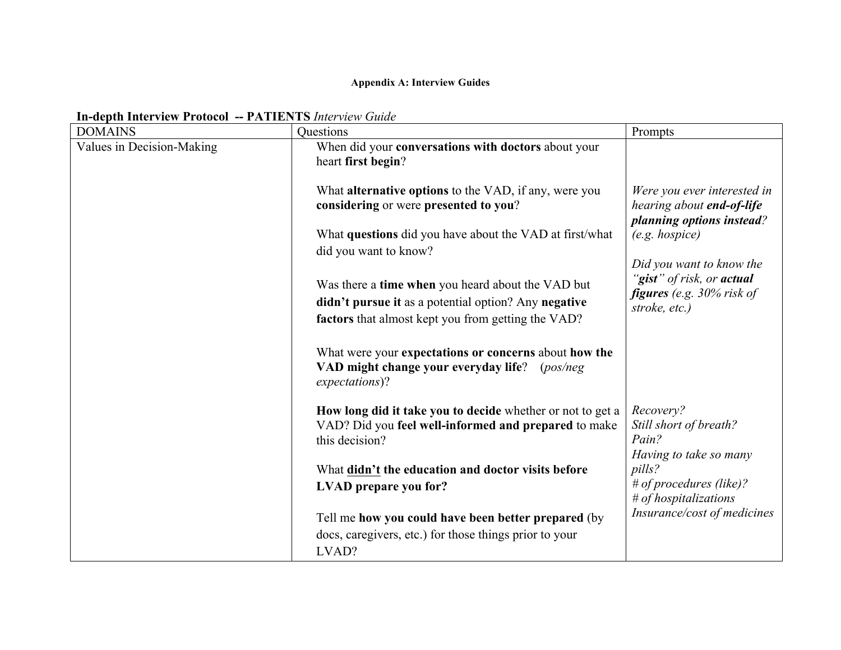## **Appendix A: Interview Guides**

## **In-depth Interview Protocol -- PATIENTS** *Interview Guide*

| <b>DOMAINS</b>            | Questions                                                                                                                                                       | Prompts                                                                                                       |
|---------------------------|-----------------------------------------------------------------------------------------------------------------------------------------------------------------|---------------------------------------------------------------------------------------------------------------|
| Values in Decision-Making | When did your conversations with doctors about your<br>heart first begin?                                                                                       |                                                                                                               |
|                           | What <b>alternative options</b> to the VAD, if any, were you<br>considering or were presented to you?                                                           | Were you ever interested in<br>hearing about end-of-life<br>planning options instead?                         |
|                           | What questions did you have about the VAD at first/what<br>did you want to know?                                                                                | $(e.g. \; hospice)$                                                                                           |
|                           | Was there a time when you heard about the VAD but<br>didn't pursue it as a potential option? Any negative<br>factors that almost kept you from getting the VAD? | Did you want to know the<br>"gist" of risk, or actual<br><b>figures</b> (e.g. $30\%$ risk of<br>stroke, etc.) |
|                           | What were your expectations or concerns about how the<br>VAD might change your everyday life?<br>(pos/neg)<br>expectations)?                                    |                                                                                                               |
|                           | How long did it take you to decide whether or not to get a<br>VAD? Did you feel well-informed and prepared to make<br>this decision?                            | Recovery?<br>Still short of breath?<br>Pain?<br>Having to take so many                                        |
|                           | What didn't the education and doctor visits before<br>LVAD prepare you for?                                                                                     | pills?<br># of procedures (like)?                                                                             |
|                           | Tell me how you could have been better prepared (by                                                                                                             | # of hospitalizations<br>Insurance/cost of medicines                                                          |
|                           | docs, caregivers, etc.) for those things prior to your<br>LVAD?                                                                                                 |                                                                                                               |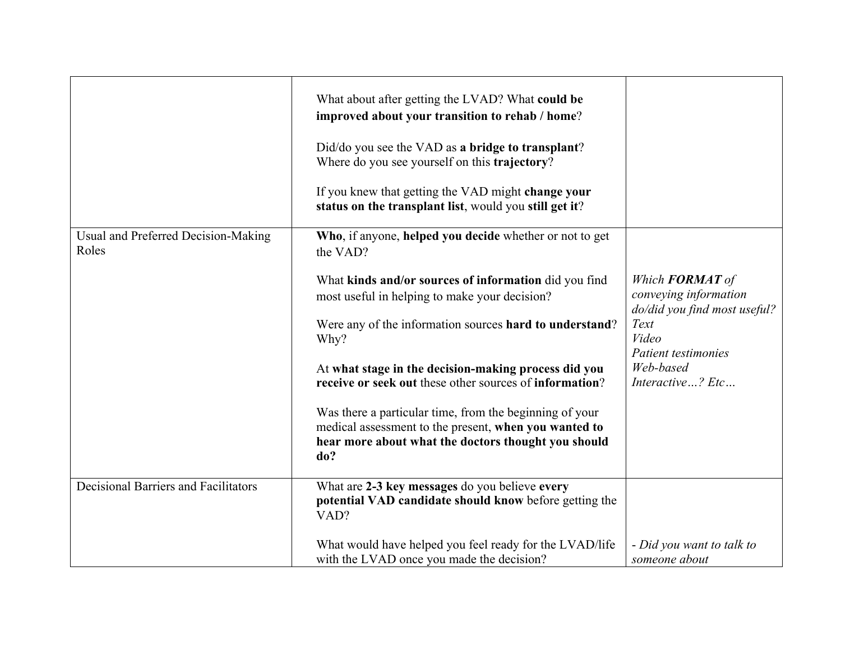|                                              | What about after getting the LVAD? What could be<br>improved about your transition to rehab / home?<br>Did/do you see the VAD as a bridge to transplant?<br>Where do you see yourself on this trajectory?<br>If you knew that getting the VAD might change your<br>status on the transplant list, would you still get it? |                                                                                 |
|----------------------------------------------|---------------------------------------------------------------------------------------------------------------------------------------------------------------------------------------------------------------------------------------------------------------------------------------------------------------------------|---------------------------------------------------------------------------------|
| Usual and Preferred Decision-Making<br>Roles | Who, if anyone, helped you decide whether or not to get<br>the VAD?                                                                                                                                                                                                                                                       |                                                                                 |
|                                              | What kinds and/or sources of information did you find<br>most useful in helping to make your decision?                                                                                                                                                                                                                    | Which <b>FORMAT</b> of<br>conveying information<br>do/did you find most useful? |
|                                              | Were any of the information sources hard to understand?<br>Why?                                                                                                                                                                                                                                                           | Text<br>Video<br>Patient testimonies                                            |
|                                              | At what stage in the decision-making process did you<br>receive or seek out these other sources of information?                                                                                                                                                                                                           | Web-based<br>Interactive? Etc                                                   |
|                                              | Was there a particular time, from the beginning of your                                                                                                                                                                                                                                                                   |                                                                                 |
|                                              | medical assessment to the present, when you wanted to<br>hear more about what the doctors thought you should<br>do?                                                                                                                                                                                                       |                                                                                 |
| <b>Decisional Barriers and Facilitators</b>  | What are 2-3 key messages do you believe every<br>potential VAD candidate should know before getting the<br>VAD?                                                                                                                                                                                                          |                                                                                 |
|                                              | What would have helped you feel ready for the LVAD/life<br>with the LVAD once you made the decision?                                                                                                                                                                                                                      | - Did you want to talk to<br>someone about                                      |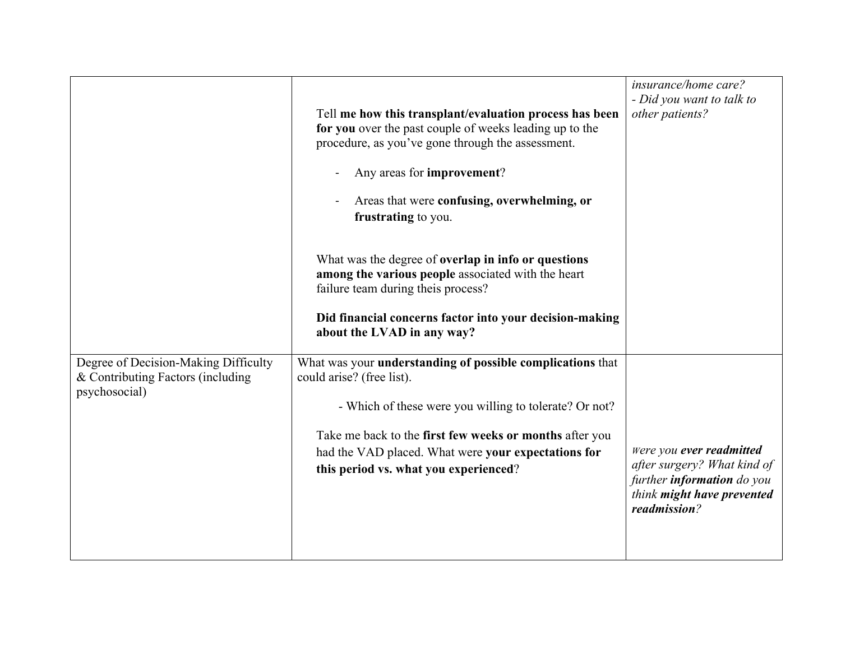|                                                                                            | Tell me how this transplant/evaluation process has been<br>for you over the past couple of weeks leading up to the<br>procedure, as you've gone through the assessment.<br>Any areas for improvement?<br>Areas that were confusing, overwhelming, or<br>frustrating to you.<br>What was the degree of <b>overlap</b> in info or questions<br>among the various people associated with the heart<br>failure team during theis process?<br>Did financial concerns factor into your decision-making<br>about the LVAD in any way? | insurance/home care?<br>- Did you want to talk to<br>other patients?                                                                       |
|--------------------------------------------------------------------------------------------|--------------------------------------------------------------------------------------------------------------------------------------------------------------------------------------------------------------------------------------------------------------------------------------------------------------------------------------------------------------------------------------------------------------------------------------------------------------------------------------------------------------------------------|--------------------------------------------------------------------------------------------------------------------------------------------|
| Degree of Decision-Making Difficulty<br>& Contributing Factors (including<br>psychosocial) | What was your <b>understanding of possible complications</b> that<br>could arise? (free list).<br>- Which of these were you willing to tolerate? Or not?<br>Take me back to the first few weeks or months after you<br>had the VAD placed. What were your expectations for<br>this period vs. what you experienced?                                                                                                                                                                                                            | Were you ever readmitted<br>after surgery? What kind of<br>further <b>information</b> do you<br>think might have prevented<br>readmission? |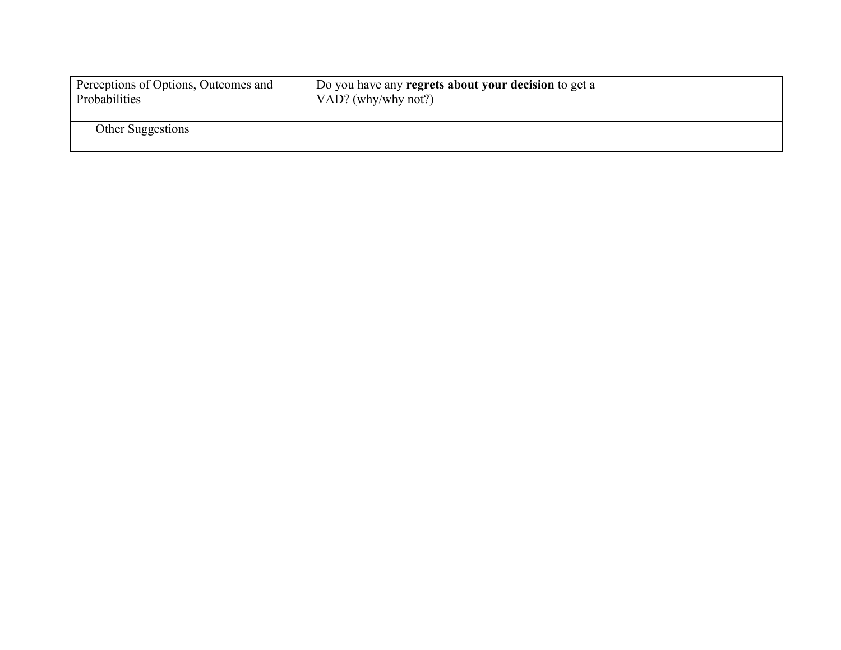| Perceptions of Options, Outcomes and<br>Probabilities | Do you have any regrets about your decision to get a<br>VAD? (why/why not?) |  |
|-------------------------------------------------------|-----------------------------------------------------------------------------|--|
| Other Suggestions                                     |                                                                             |  |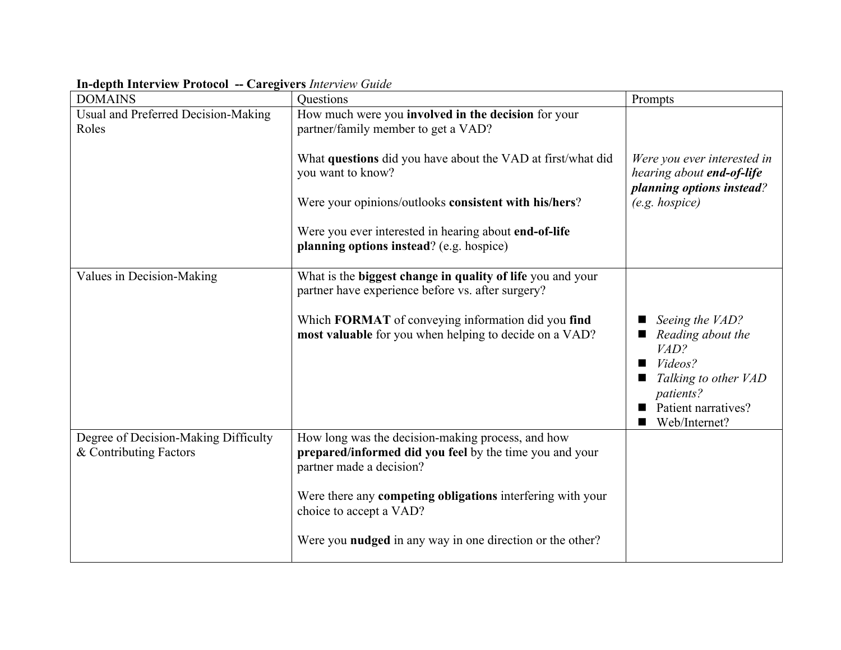| <b>DOMAINS</b>                                                 | Questions                                                                                                                                                                                                                                                                                                                                    | Prompts                                                                                                                              |
|----------------------------------------------------------------|----------------------------------------------------------------------------------------------------------------------------------------------------------------------------------------------------------------------------------------------------------------------------------------------------------------------------------------------|--------------------------------------------------------------------------------------------------------------------------------------|
| Usual and Preferred Decision-Making<br>Roles                   | How much were you involved in the decision for your<br>partner/family member to get a VAD?<br>What questions did you have about the VAD at first/what did<br>you want to know?<br>Were your opinions/outlooks consistent with his/hers?<br>Were you ever interested in hearing about end-of-life<br>planning options instead? (e.g. hospice) | Were you ever interested in<br>hearing about end-of-life<br>planning options instead?<br>$(e.g. \; \text{hospice})$                  |
| Values in Decision-Making                                      | What is the biggest change in quality of life you and your<br>partner have experience before vs. after surgery?<br>Which FORMAT of conveying information did you find<br>most valuable for you when helping to decide on a VAD?                                                                                                              | Seeing the VAD?<br>Reading about the<br>VAD?<br>Videos?<br>Talking to other VAD<br>patients?<br>Patient narratives?<br>Web/Internet? |
| Degree of Decision-Making Difficulty<br>& Contributing Factors | How long was the decision-making process, and how<br>prepared/informed did you feel by the time you and your<br>partner made a decision?<br>Were there any competing obligations interfering with your<br>choice to accept a VAD?<br>Were you <b>nudged</b> in any way in one direction or the other?                                        |                                                                                                                                      |

**In-depth Interview Protocol -- Caregivers** *Interview Guide*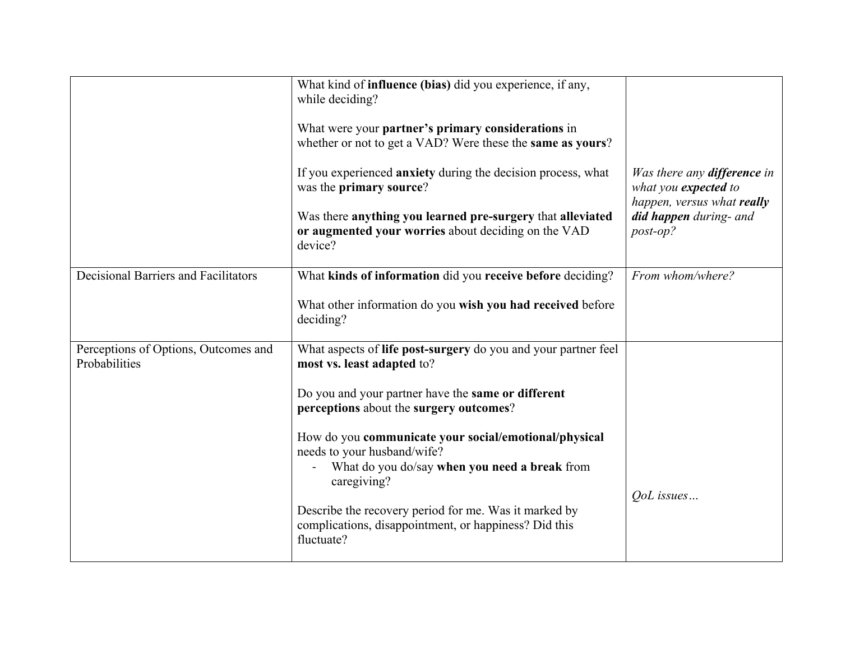|                                                       | What kind of <b>influence</b> (bias) did you experience, if any,<br>while deciding?<br>What were your partner's primary considerations in<br>whether or not to get a VAD? Were these the same as yours?<br>If you experienced anxiety during the decision process, what<br>was the primary source?<br>Was there anything you learned pre-surgery that alleviated<br>or augmented your worries about deciding on the VAD<br>device?                                                    | Was there any <b>difference</b> in<br>what you expected to<br>happen, versus what really<br>did happen during- and<br>post-op? |
|-------------------------------------------------------|---------------------------------------------------------------------------------------------------------------------------------------------------------------------------------------------------------------------------------------------------------------------------------------------------------------------------------------------------------------------------------------------------------------------------------------------------------------------------------------|--------------------------------------------------------------------------------------------------------------------------------|
| <b>Decisional Barriers and Facilitators</b>           | What kinds of information did you receive before deciding?<br>What other information do you wish you had received before<br>deciding?                                                                                                                                                                                                                                                                                                                                                 | From whom/where?                                                                                                               |
| Perceptions of Options, Outcomes and<br>Probabilities | What aspects of life post-surgery do you and your partner feel<br>most vs. least adapted to?<br>Do you and your partner have the same or different<br>perceptions about the surgery outcomes?<br>How do you communicate your social/emotional/physical<br>needs to your husband/wife?<br>What do you do/say when you need a break from<br>caregiving?<br>Describe the recovery period for me. Was it marked by<br>complications, disappointment, or happiness? Did this<br>fluctuate? | <i>OoL</i> issues                                                                                                              |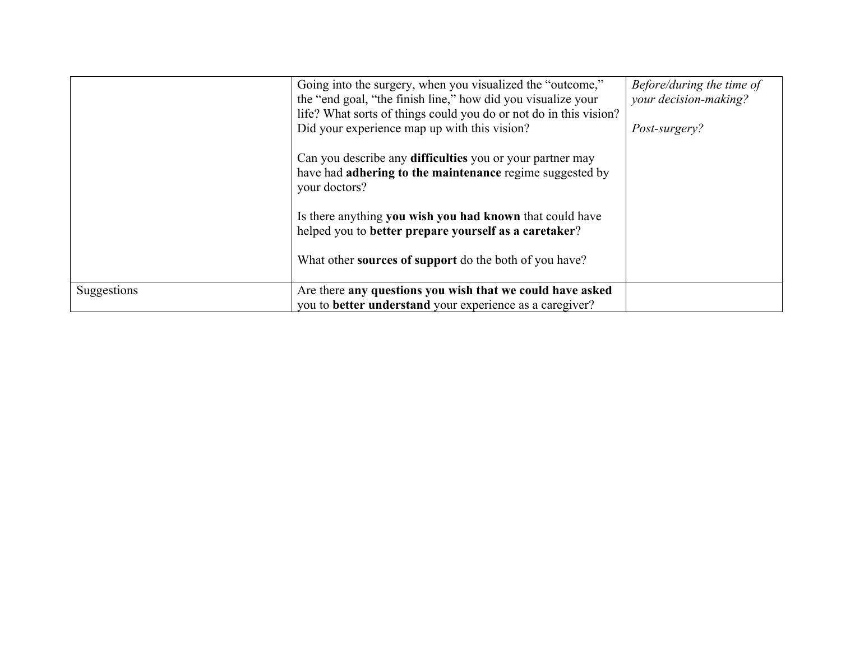|             | Going into the surgery, when you visualized the "outcome,"<br>the "end goal, "the finish line," how did you visualize your<br>life? What sorts of things could you do or not do in this vision?<br>Did your experience map up with this vision? | Before/during the time of<br>your decision-making?<br>Post-surgery? |
|-------------|-------------------------------------------------------------------------------------------------------------------------------------------------------------------------------------------------------------------------------------------------|---------------------------------------------------------------------|
|             | Can you describe any <b>difficulties</b> you or your partner may<br>have had adhering to the maintenance regime suggested by<br>your doctors?                                                                                                   |                                                                     |
|             | Is there anything you wish you had known that could have<br>helped you to better prepare yourself as a caretaker?                                                                                                                               |                                                                     |
|             | What other <b>sources of support</b> do the both of you have?                                                                                                                                                                                   |                                                                     |
| Suggestions | Are there any questions you wish that we could have asked<br>you to better understand your experience as a caregiver?                                                                                                                           |                                                                     |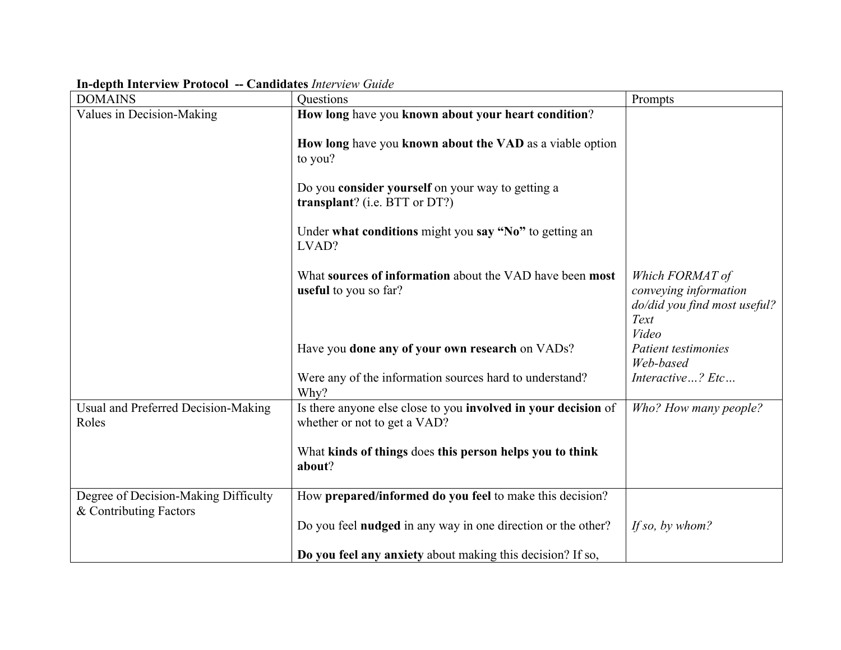| <b>DOMAINS</b>                               | Questions                                                                                                                  | Prompts                                                                                   |
|----------------------------------------------|----------------------------------------------------------------------------------------------------------------------------|-------------------------------------------------------------------------------------------|
| Values in Decision-Making                    | How long have you known about your heart condition?<br>How long have you known about the VAD as a viable option<br>to you? |                                                                                           |
|                                              | Do you consider yourself on your way to getting a<br>transplant? (i.e. BTT or $DT$ ?)                                      |                                                                                           |
|                                              | Under what conditions might you say "No" to getting an<br>LVAD?                                                            |                                                                                           |
|                                              | What sources of information about the VAD have been most<br>useful to you so far?                                          | Which FORMAT of<br>conveying information<br>do/did you find most useful?<br>Text<br>Video |
|                                              | Have you done any of your own research on VADs?                                                                            | Patient testimonies<br>Web-based                                                          |
|                                              | Were any of the information sources hard to understand?<br>Why?                                                            | Interactive? Etc                                                                          |
| Usual and Preferred Decision-Making<br>Roles | Is there anyone else close to you involved in your decision of<br>whether or not to get a VAD?                             | Who? How many people?                                                                     |
|                                              | What kinds of things does this person helps you to think<br>about?                                                         |                                                                                           |
| Degree of Decision-Making Difficulty         | How prepared/informed do you feel to make this decision?                                                                   |                                                                                           |
| & Contributing Factors                       | Do you feel <b>nudged</b> in any way in one direction or the other?                                                        | If so, by whom?                                                                           |
|                                              | Do you feel any anxiety about making this decision? If so,                                                                 |                                                                                           |

## **In-depth Interview Protocol -- Candidates** *Interview Guide*